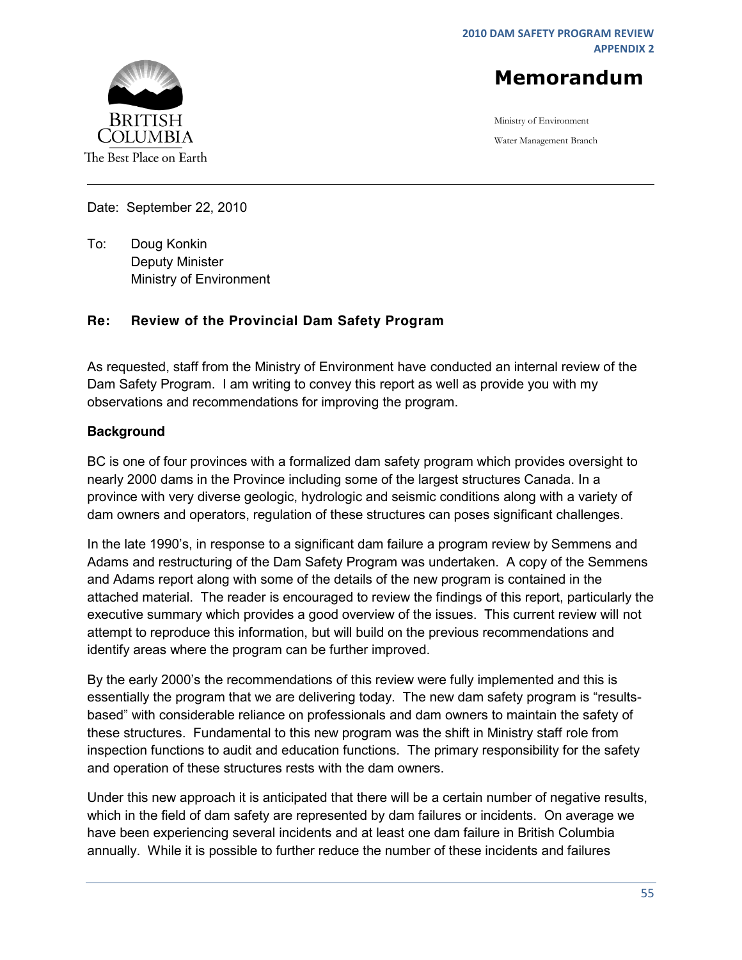**2010 DAM SAFETY PROGRAM REVIEW APPENDIX 2**



Ministry of Environment Water Management Branch



Date: September 22, 2010

To: Doug Konkin Deputy Minister Ministry of Environment

#### **Re: Review of the Provincial Dam Safety Program**

As requested, staff from the Ministry of Environment have conducted an internal review of the Dam Safety Program. I am writing to convey this report as well as provide you with my observations and recommendations for improving the program.

#### **Background**

BC is one of four provinces with a formalized dam safety program which provides oversight to nearly 2000 dams in the Province including some of the largest structures Canada. In a province with very diverse geologic, hydrologic and seismic conditions along with a variety of dam owners and operators, regulation of these structures can poses significant challenges.

In the late 1990's, in response to a significant dam failure a program review by Semmens and Adams and restructuring of the Dam Safety Program was undertaken. A copy of the Semmens and Adams report along with some of the details of the new program is contained in the attached material. The reader is encouraged to review the findings of this report, particularly the executive summary which provides a good overview of the issues. This current review will not attempt to reproduce this information, but will build on the previous recommendations and identify areas where the program can be further improved.

By the early 2000's the recommendations of this review were fully implemented and this is essentially the program that we are delivering today. The new dam safety program is "resultsbased" with considerable reliance on professionals and dam owners to maintain the safety of these structures. Fundamental to this new program was the shift in Ministry staff role from inspection functions to audit and education functions. The primary responsibility for the safety and operation of these structures rests with the dam owners.

Under this new approach it is anticipated that there will be a certain number of negative results, which in the field of dam safety are represented by dam failures or incidents. On average we have been experiencing several incidents and at least one dam failure in British Columbia annually. While it is possible to further reduce the number of these incidents and failures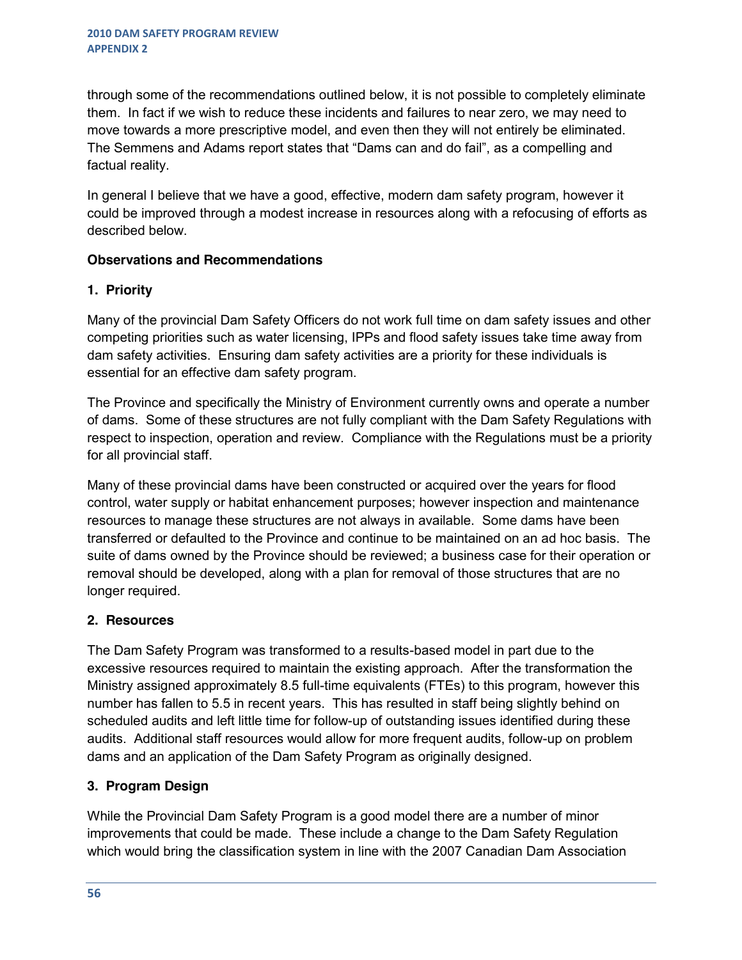through some of the recommendations outlined below, it is not possible to completely eliminate them. In fact if we wish to reduce these incidents and failures to near zero, we may need to move towards a more prescriptive model, and even then they will not entirely be eliminated. The Semmens and Adams report states that "Dams can and do fail", as a compelling and factual reality.

In general I believe that we have a good, effective, modern dam safety program, however it could be improved through a modest increase in resources along with a refocusing of efforts as described below.

#### **Observations and Recommendations**

## **1. Priority**

Many of the provincial Dam Safety Officers do not work full time on dam safety issues and other competing priorities such as water licensing, IPPs and flood safety issues take time away from dam safety activities. Ensuring dam safety activities are a priority for these individuals is essential for an effective dam safety program.

The Province and specifically the Ministry of Environment currently owns and operate a number of dams. Some of these structures are not fully compliant with the Dam Safety Regulations with respect to inspection, operation and review. Compliance with the Regulations must be a priority for all provincial staff.

Many of these provincial dams have been constructed or acquired over the years for flood control, water supply or habitat enhancement purposes; however inspection and maintenance resources to manage these structures are not always in available. Some dams have been transferred or defaulted to the Province and continue to be maintained on an ad hoc basis. The suite of dams owned by the Province should be reviewed; a business case for their operation or removal should be developed, along with a plan for removal of those structures that are no longer required.

## **2. Resources**

The Dam Safety Program was transformed to a results-based model in part due to the excessive resources required to maintain the existing approach. After the transformation the Ministry assigned approximately 8.5 full-time equivalents (FTEs) to this program, however this number has fallen to 5.5 in recent years. This has resulted in staff being slightly behind on scheduled audits and left little time for follow-up of outstanding issues identified during these audits. Additional staff resources would allow for more frequent audits, follow-up on problem dams and an application of the Dam Safety Program as originally designed.

## **3. Program Design**

While the Provincial Dam Safety Program is a good model there are a number of minor improvements that could be made. These include a change to the Dam Safety Regulation which would bring the classification system in line with the 2007 Canadian Dam Association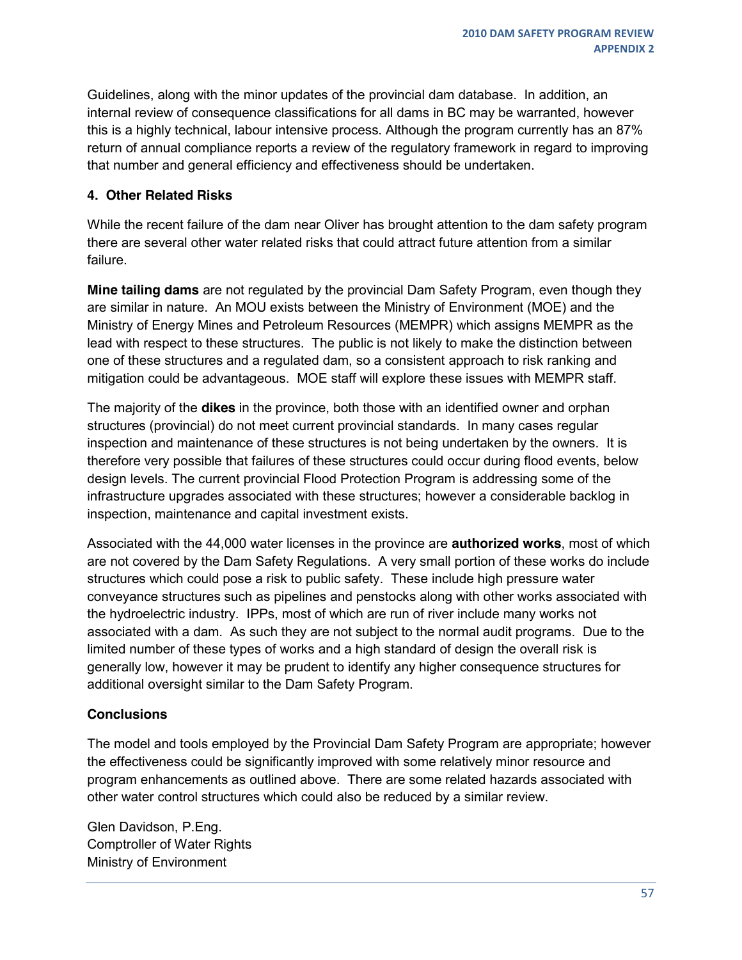Guidelines, along with the minor updates of the provincial dam database. In addition, an internal review of consequence classifications for all dams in BC may be warranted, however this is a highly technical, labour intensive process. Although the program currently has an 87% return of annual compliance reports a review of the regulatory framework in regard to improving that number and general efficiency and effectiveness should be undertaken.

#### **4. Other Related Risks**

While the recent failure of the dam near Oliver has brought attention to the dam safety program there are several other water related risks that could attract future attention from a similar failure.

**Mine tailing dams** are not regulated by the provincial Dam Safety Program, even though they are similar in nature. An MOU exists between the Ministry of Environment (MOE) and the Ministry of Energy Mines and Petroleum Resources (MEMPR) which assigns MEMPR as the lead with respect to these structures. The public is not likely to make the distinction between one of these structures and a regulated dam, so a consistent approach to risk ranking and mitigation could be advantageous. MOE staff will explore these issues with MEMPR staff.

The majority of the **dikes** in the province, both those with an identified owner and orphan structures (provincial) do not meet current provincial standards. In many cases regular inspection and maintenance of these structures is not being undertaken by the owners. It is therefore very possible that failures of these structures could occur during flood events, below design levels. The current provincial Flood Protection Program is addressing some of the infrastructure upgrades associated with these structures; however a considerable backlog in inspection, maintenance and capital investment exists.

Associated with the 44,000 water licenses in the province are **authorized works**, most of which are not covered by the Dam Safety Regulations. A very small portion of these works do include structures which could pose a risk to public safety. These include high pressure water conveyance structures such as pipelines and penstocks along with other works associated with the hydroelectric industry. IPPs, most of which are run of river include many works not associated with a dam. As such they are not subject to the normal audit programs. Due to the limited number of these types of works and a high standard of design the overall risk is generally low, however it may be prudent to identify any higher consequence structures for additional oversight similar to the Dam Safety Program.

## **Conclusions**

The model and tools employed by the Provincial Dam Safety Program are appropriate; however the effectiveness could be significantly improved with some relatively minor resource and program enhancements as outlined above. There are some related hazards associated with other water control structures which could also be reduced by a similar review.

Glen Davidson, P.Eng. Comptroller of Water Rights Ministry of Environment